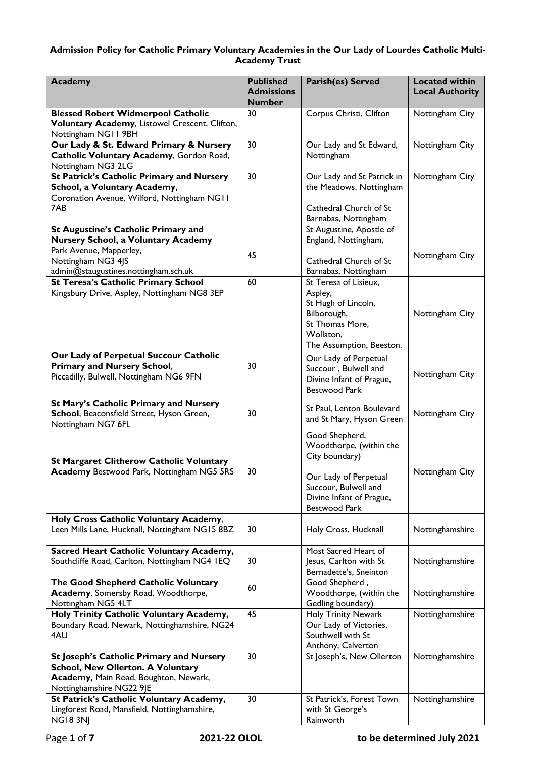## **Admission Policy for Catholic Primary Voluntary Academies in the Our Lady of Lourdes Catholic Multi-Academy Trust**

| <b>Academy</b>                                                                                                                                                      | <b>Published</b><br><b>Admissions</b><br><b>Number</b> | Parish(es) Served                                                                                                                                         | <b>Located within</b><br><b>Local Authority</b> |
|---------------------------------------------------------------------------------------------------------------------------------------------------------------------|--------------------------------------------------------|-----------------------------------------------------------------------------------------------------------------------------------------------------------|-------------------------------------------------|
| <b>Blessed Robert Widmerpool Catholic</b>                                                                                                                           | 30                                                     | Corpus Christi, Clifton                                                                                                                                   | Nottingham City                                 |
| Voluntary Academy, Listowel Crescent, Clifton,<br>Nottingham NG11 9BH                                                                                               |                                                        |                                                                                                                                                           |                                                 |
| Our Lady & St. Edward Primary & Nursery<br>Catholic Voluntary Academy, Gordon Road,<br>Nottingham NG3 2LG                                                           | 30                                                     | Our Lady and St Edward,<br>Nottingham                                                                                                                     | Nottingham City                                 |
| <b>St Patrick's Catholic Primary and Nursery</b><br>School, a Voluntary Academy,<br>Coronation Avenue, Wilford, Nottingham NG11<br>7AB                              | 30                                                     | Our Lady and St Patrick in<br>the Meadows, Nottingham<br>Cathedral Church of St<br>Barnabas, Nottingham                                                   | Nottingham City                                 |
| St Augustine's Catholic Primary and<br>Nursery School, a Voluntary Academy<br>Park Avenue, Mapperley,<br>Nottingham NG3 4JS<br>admin@staugustines.nottingham.sch.uk | 45                                                     | St Augustine, Apostle of<br>England, Nottingham,<br>Cathedral Church of St<br>Barnabas, Nottingham                                                        | Nottingham City                                 |
| <b>St Teresa's Catholic Primary School</b><br>Kingsbury Drive, Aspley, Nottingham NG8 3EP                                                                           | 60                                                     | St Teresa of Lisieux,<br>Aspley,<br>St Hugh of Lincoln,<br>Bilborough,<br>St Thomas More,<br>Wollaton,<br>The Assumption, Beeston.                        | Nottingham City                                 |
| Our Lady of Perpetual Succour Catholic<br><b>Primary and Nursery School,</b><br>Piccadilly, Bulwell, Nottingham NG6 9FN                                             | 30                                                     | Our Lady of Perpetual<br>Succour, Bulwell and<br>Divine Infant of Prague,<br><b>Bestwood Park</b>                                                         | Nottingham City                                 |
| St Mary's Catholic Primary and Nursery<br>School, Beaconsfield Street, Hyson Green,<br>Nottingham NG7 6FL                                                           | 30                                                     | St Paul, Lenton Boulevard<br>and St Mary, Hyson Green                                                                                                     | Nottingham City                                 |
| <b>St Margaret Clitherow Catholic Voluntary</b><br><b>Academy Bestwood Park, Nottingham NG5 5RS</b>                                                                 | 30                                                     | Good Shepherd,<br>Woodthorpe, (within the<br>City boundary)<br>Our Lady of Perpetual<br>Succour, Bulwell and<br>Divine Infant of Prague,<br>Bestwood Park | Nottingham City                                 |
| Holy Cross Catholic Voluntary Academy,<br>Leen Mills Lane, Hucknall, Nottingham NG15 8BZ                                                                            | 30                                                     | Holy Cross, Hucknall                                                                                                                                      | Nottinghamshire                                 |
| Sacred Heart Catholic Voluntary Academy,<br>Southcliffe Road, Carlton, Nottingham NG4 IEQ                                                                           | 30                                                     | Most Sacred Heart of<br>Jesus, Carlton with St<br>Bernadette's, Sneinton                                                                                  | Nottinghamshire                                 |
| The Good Shepherd Catholic Voluntary<br>Academy, Somersby Road, Woodthorpe,<br>Nottingham NG5 4LT                                                                   | 60                                                     | Good Shepherd,<br>Woodthorpe, (within the<br>Gedling boundary)                                                                                            | Nottinghamshire                                 |
| Holy Trinity Catholic Voluntary Academy,<br>Boundary Road, Newark, Nottinghamshire, NG24<br>4AU                                                                     | 45                                                     | Holy Trinity Newark<br>Our Lady of Victories,<br>Southwell with St<br>Anthony, Calverton                                                                  | Nottinghamshire                                 |
| St Joseph's Catholic Primary and Nursery<br><b>School, New Ollerton. A Voluntary</b><br>Academy, Main Road, Boughton, Newark,<br>Nottinghamshire NG22 9JE           | 30                                                     | St Joseph's, New Ollerton                                                                                                                                 | Nottinghamshire                                 |
| St Patrick's Catholic Voluntary Academy,<br>Lingforest Road, Mansfield, Nottinghamshire,<br><b>NG183NJ</b>                                                          | 30                                                     | St Patrick's, Forest Town<br>with St George's<br>Rainworth                                                                                                | Nottinghamshire                                 |

Page **1** of **7 2021-22 OLOL to be determined July 2021**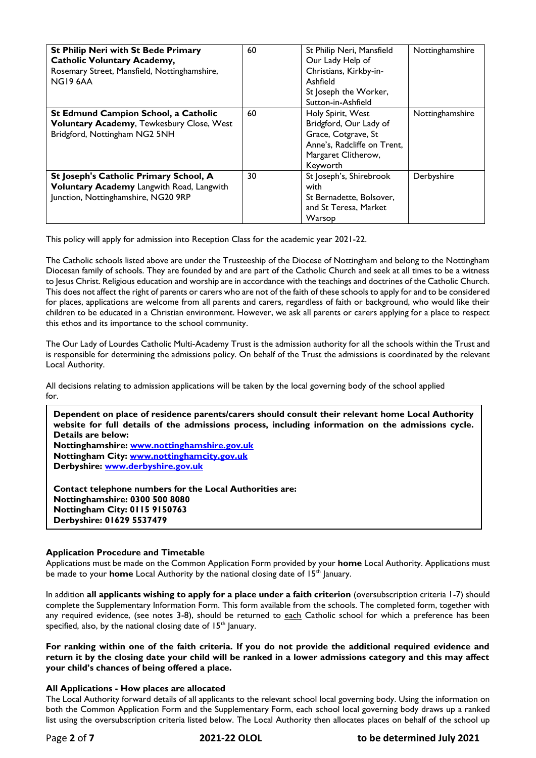| <b>St Philip Neri with St Bede Primary</b><br><b>Catholic Voluntary Academy,</b><br>Rosemary Street, Mansfield, Nottinghamshire,<br>NG19 6AA | 60 | St Philip Neri, Mansfield<br>Our Lady Help of<br>Christians, Kirkby-in-<br>Ashfield<br>St Joseph the Worker,<br>Sutton-in-Ashfield   | Nottinghamshire |
|----------------------------------------------------------------------------------------------------------------------------------------------|----|--------------------------------------------------------------------------------------------------------------------------------------|-----------------|
| St Edmund Campion School, a Catholic<br>Voluntary Academy, Tewkesbury Close, West<br>Bridgford, Nottingham NG2 5NH                           | 60 | Holy Spirit, West<br>Bridgford, Our Lady of<br>Grace, Cotgrave, St<br>Anne's, Radcliffe on Trent,<br>Margaret Clitherow,<br>Keyworth | Nottinghamshire |
| St Joseph's Catholic Primary School, A<br>Voluntary Academy Langwith Road, Langwith<br>Junction, Nottinghamshire, NG20 9RP                   | 30 | St Joseph's, Shirebrook<br>with<br>St Bernadette, Bolsover,<br>and St Teresa, Market<br>Warsop                                       | Derbyshire      |

This policy will apply for admission into Reception Class for the academic year 2021-22.

The Catholic schools listed above are under the Trusteeship of the Diocese of Nottingham and belong to the Nottingham Diocesan family of schools. They are founded by and are part of the Catholic Church and seek at all times to be a witness to Jesus Christ. Religious education and worship are in accordance with the teachings and doctrines of the Catholic Church. This does not affect the right of parents or carers who are not of the faith of these schools to apply for and to be considered for places, applications are welcome from all parents and carers, regardless of faith or background, who would like their children to be educated in a Christian environment. However, we ask all parents or carers applying for a place to respect this ethos and its importance to the school community.

The Our Lady of Lourdes Catholic Multi-Academy Trust is the admission authority for all the schools within the Trust and is responsible for determining the admissions policy. On behalf of the Trust the admissions is coordinated by the relevant Local Authority.

All decisions relating to admission applications will be taken by the local governing body of the school applied for.

**Dependent on place of residence parents/carers should consult their relevant home Local Authority website for full details of the admissions process, including information on the admissions cycle. Details are below: Nottinghamshire: [www.nottinghamshire.gov.uk](http://www.nottinghamshire.gov.uk/) Nottingham City: [www.nottinghamcity.gov.uk](http://www.nottinghamcity.gov.uk/)  Derbyshire: [www.derbyshire.gov.uk](http://www.derbyshire.gov.uk/)  Contact telephone numbers for the Local Authorities are:**

**Nottinghamshire: 0300 500 8080 Nottingham City: 0115 9150763 Derbyshire: 01629 5537479**

# **Application Procedure and Timetable**

Applications must be made on the Common Application Form provided by your **home** Local Authority. Applications must be made to your **home** Local Authority by the national closing date of 15<sup>th</sup> January.

In addition **all applicants wishing to apply for a place under a faith criterion** (oversubscription criteria 1-7) should complete the Supplementary Information Form. This form available from the schools. The completed form, together with any required evidence, (see notes 3-8), should be returned to each Catholic school for which a preference has been specified, also, by the national closing date of  $15<sup>th</sup>$  January.

**For ranking within one of the faith criteria. If you do not provide the additional required evidence and return it by the closing date your child will be ranked in a lower admissions category and this may affect your child's chances of being offered a place.**

### **All Applications - How places are allocated**

The Local Authority forward details of all applicants to the relevant school local governing body. Using the information on both the Common Application Form and the Supplementary Form, each school local governing body draws up a ranked list using the oversubscription criteria listed below. The Local Authority then allocates places on behalf of the school up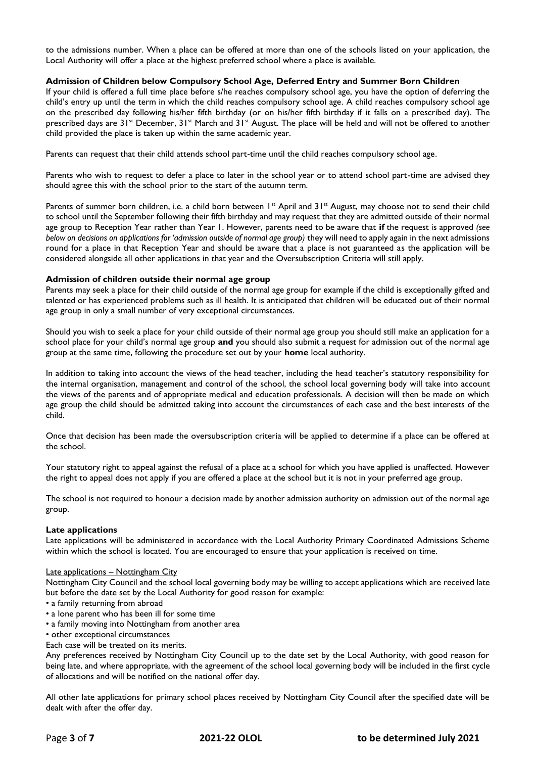to the admissions number. When a place can be offered at more than one of the schools listed on your application, the Local Authority will offer a place at the highest preferred school where a place is available.

## **Admission of Children below Compulsory School Age, Deferred Entry and Summer Born Children**

If your child is offered a full time place before s/he reaches compulsory school age, you have the option of deferring the child's entry up until the term in which the child reaches compulsory school age. A child reaches compulsory school age on the prescribed day following his/her fifth birthday (or on his/her fifth birthday if it falls on a prescribed day). The prescribed days are 31<sup>st</sup> December, 31<sup>st</sup> March and 31<sup>st</sup> August. The place will be held and will not be offered to another child provided the place is taken up within the same academic year.

Parents can request that their child attends school part-time until the child reaches compulsory school age.

Parents who wish to request to defer a place to later in the school year or to attend school part-time are advised they should agree this with the school prior to the start of the autumn term*.*

Parents of summer born children, i.e. a child born between  $1^{st}$  April and  $31^{st}$  August, may choose not to send their child to school until the September following their fifth birthday and may request that they are admitted outside of their normal age group to Reception Year rather than Year 1. However, parents need to be aware that **if** the request is approved *(see below on decisions on applications for 'admission outside of normal age group*) they will need to apply again in the next admissions round for a place in that Reception Year and should be aware that a place is not guaranteed as the application will be considered alongside all other applications in that year and the Oversubscription Criteria will still apply.

### **Admission of children outside their normal age group**

Parents may seek a place for their child outside of the normal age group for example if the child is exceptionally gifted and talented or has experienced problems such as ill health. It is anticipated that children will be educated out of their normal age group in only a small number of very exceptional circumstances.

Should you wish to seek a place for your child outside of their normal age group you should still make an application for a school place for your child's normal age group **and** you should also submit a request for admission out of the normal age group at the same time, following the procedure set out by your **home** local authority.

In addition to taking into account the views of the head teacher, including the head teacher's statutory responsibility for the internal organisation, management and control of the school, the school local governing body will take into account the views of the parents and of appropriate medical and education professionals. A decision will then be made on which age group the child should be admitted taking into account the circumstances of each case and the best interests of the child.

Once that decision has been made the oversubscription criteria will be applied to determine if a place can be offered at the school.

Your statutory right to appeal against the refusal of a place at a school for which you have applied is unaffected. However the right to appeal does not apply if you are offered a place at the school but it is not in your preferred age group.

The school is not required to honour a decision made by another admission authority on admission out of the normal age group.

### **Late applications**

Late applications will be administered in accordance with the Local Authority Primary Coordinated Admissions Scheme within which the school is located. You are encouraged to ensure that your application is received on time.

### Late applications - Nottingham City

Nottingham City Council and the school local governing body may be willing to accept applications which are received late but before the date set by the Local Authority for good reason for example:

- a family returning from abroad
- a lone parent who has been ill for some time
- a family moving into Nottingham from another area
- other exceptional circumstances
- Each case will be treated on its merits.

Any preferences received by Nottingham City Council up to the date set by the Local Authority, with good reason for being late, and where appropriate, with the agreement of the school local governing body will be included in the first cycle of allocations and will be notified on the national offer day.

All other late applications for primary school places received by Nottingham City Council after the specified date will be dealt with after the offer day.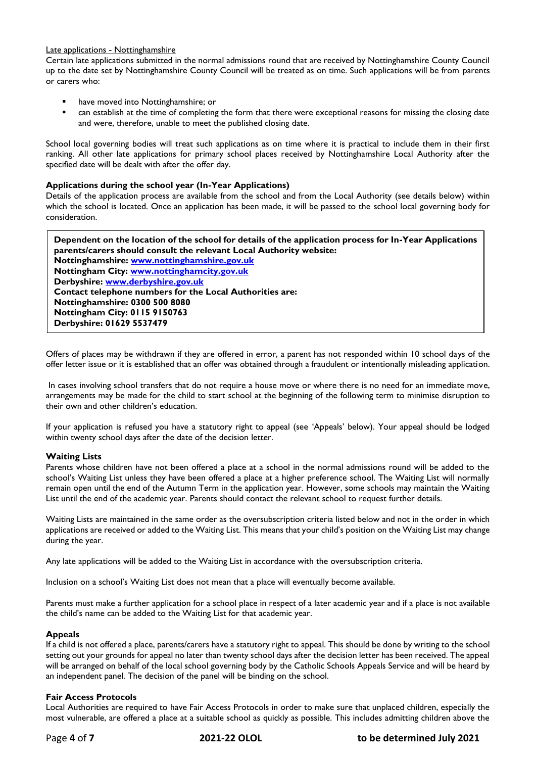## Late applications - Nottinghamshire

Certain late applications submitted in the normal admissions round that are received by Nottinghamshire County Council up to the date set by Nottinghamshire County Council will be treated as on time. Such applications will be from parents or carers who:

- have moved into Nottinghamshire; or
- can establish at the time of completing the form that there were exceptional reasons for missing the closing date and were, therefore, unable to meet the published closing date.

School local governing bodies will treat such applications as on time where it is practical to include them in their first ranking. All other late applications for primary school places received by Nottinghamshire Local Authority after the specified date will be dealt with after the offer day.

### **Applications during the school year (In-Year Applications)**

Details of the application process are available from the school and from the Local Authority (see details below) within which the school is located. Once an application has been made, it will be passed to the school local governing body for consideration.

**Dependent on the location of the school for details of the application process for In-Year Applications parents/carers should consult the relevant Local Authority website: Nottinghamshire: [www.nottinghamshire.gov.uk](http://www.nottinghamshire.gov.uk/) Nottingham City: [www.nottinghamcity.gov.uk](http://www.nottinghamcity.gov.uk/) Derbyshire: [www.derbyshire.gov.uk](http://www.derbyshire.gov.uk/) Contact telephone numbers for the Local Authorities are: Nottinghamshire: 0300 500 8080 Nottingham City: 0115 9150763 Derbyshire: 01629 5537479**

Offers of places may be withdrawn if they are offered in error, a parent has not responded within 10 school days of the offer letter issue or it is established that an offer was obtained through a fraudulent or intentionally misleading application.

In cases involving school transfers that do not require a house move or where there is no need for an immediate move, arrangements may be made for the child to start school at the beginning of the following term to minimise disruption to their own and other children's education.

If your application is refused you have a statutory right to appeal (see 'Appeals' below). Your appeal should be lodged within twenty school days after the date of the decision letter.

# **Waiting Lists**

Parents whose children have not been offered a place at a school in the normal admissions round will be added to the school's Waiting List unless they have been offered a place at a higher preference school. The Waiting List will normally remain open until the end of the Autumn Term in the application year. However, some schools may maintain the Waiting List until the end of the academic year. Parents should contact the relevant school to request further details.

Waiting Lists are maintained in the same order as the oversubscription criteria listed below and not in the order in which applications are received or added to the Waiting List. This means that your child's position on the Waiting List may change during the year.

Any late applications will be added to the Waiting List in accordance with the oversubscription criteria.

Inclusion on a school's Waiting List does not mean that a place will eventually become available.

Parents must make a further application for a school place in respect of a later academic year and if a place is not available the child's name can be added to the Waiting List for that academic year.

### **Appeals**

If a child is not offered a place, parents/carers have a statutory right to appeal. This should be done by writing to the school setting out your grounds for appeal no later than twenty school days after the decision letter has been received. The appeal will be arranged on behalf of the local school governing body by the Catholic Schools Appeals Service and will be heard by an independent panel. The decision of the panel will be binding on the school.

### **Fair Access Protocols**

Local Authorities are required to have Fair Access Protocols in order to make sure that unplaced children, especially the most vulnerable, are offered a place at a suitable school as quickly as possible. This includes admitting children above the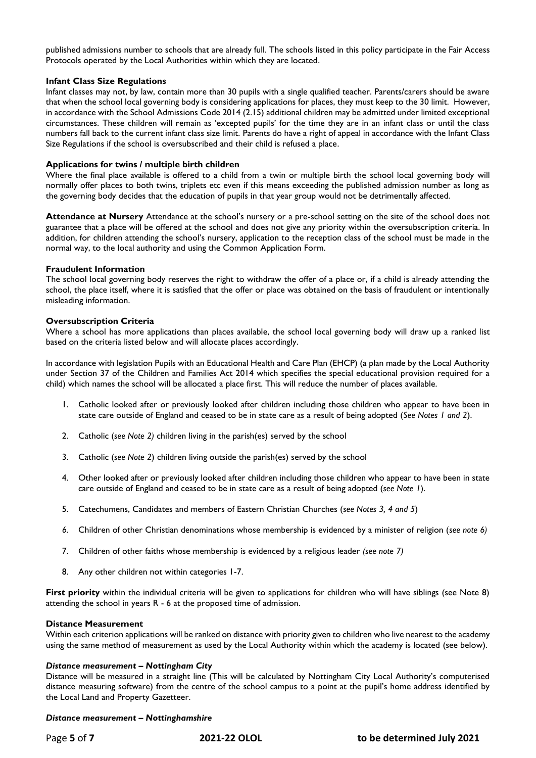published admissions number to schools that are already full. The schools listed in this policy participate in the Fair Access Protocols operated by the Local Authorities within which they are located.

## **Infant Class Size Regulations**

Infant classes may not, by law, contain more than 30 pupils with a single qualified teacher. Parents/carers should be aware that when the school local governing body is considering applications for places, they must keep to the 30 limit. However, in accordance with the School Admissions Code 2014 (2.15) additional children may be admitted under limited exceptional circumstances. These children will remain as 'excepted pupils' for the time they are in an infant class or until the class numbers fall back to the current infant class size limit. Parents do have a right of appeal in accordance with the Infant Class Size Regulations if the school is oversubscribed and their child is refused a place.

## **Applications for twins / multiple birth children**

Where the final place available is offered to a child from a twin or multiple birth the school local governing body will normally offer places to both twins, triplets etc even if this means exceeding the published admission number as long as the governing body decides that the education of pupils in that year group would not be detrimentally affected.

**Attendance at Nursery** Attendance at the school's nursery or a pre-school setting on the site of the school does not guarantee that a place will be offered at the school and does not give any priority within the oversubscription criteria. In addition, for children attending the school's nursery, application to the reception class of the school must be made in the normal way, to the local authority and using the Common Application Form.

### **Fraudulent Information**

The school local governing body reserves the right to withdraw the offer of a place or, if a child is already attending the school, the place itself, where it is satisfied that the offer or place was obtained on the basis of fraudulent or intentionally misleading information.

## **Oversubscription Criteria**

Where a school has more applications than places available, the school local governing body will draw up a ranked list based on the criteria listed below and will allocate places accordingly.

In accordance with legislation Pupils with an Educational Health and Care Plan (EHCP) (a plan made by the Local Authority under Section 37 of the Children and Families Act 2014 which specifies the special educational provision required for a child) which names the school will be allocated a place first. This will reduce the number of places available.

- 1. Catholic looked after or previously looked after children including those children who appear to have been in state care outside of England and ceased to be in state care as a result of being adopted (*See Notes 1 and 2*).
- 2. Catholic (*see Note 2)* children living in the parish(es) served by the school
- 3. Catholic (*see Note 2*) children living outside the parish(es) served by the school
- 4. Other looked after or previously looked after children including those children who appear to have been in state care outside of England and ceased to be in state care as a result of being adopted (*see Note 1*).
- 5. Catechumens, Candidates and members of Eastern Christian Churches (*see Notes 3, 4 and 5*)
- *6.* Children of other Christian denominations whose membership is evidenced by a minister of religion (*see note 6)*
- 7. Children of other faiths whose membership is evidenced by a religious leader *(see note 7)*
- 8. Any other children not within categories 1-7.

**First priority** within the individual criteria will be given to applications for children who will have siblings (see Note 8) attending the school in years R - 6 at the proposed time of admission.

### **Distance Measurement**

Within each criterion applications will be ranked on distance with priority given to children who live nearest to the academy using the same method of measurement as used by the Local Authority within which the academy is located (see below).

### *Distance measurement – Nottingham City*

Distance will be measured in a straight line (This will be calculated by Nottingham City Local Authority's computerised distance measuring software) from the centre of the school campus to a point at the pupil's home address identified by the Local Land and Property Gazetteer.

### *Distance measurement – Nottinghamshire*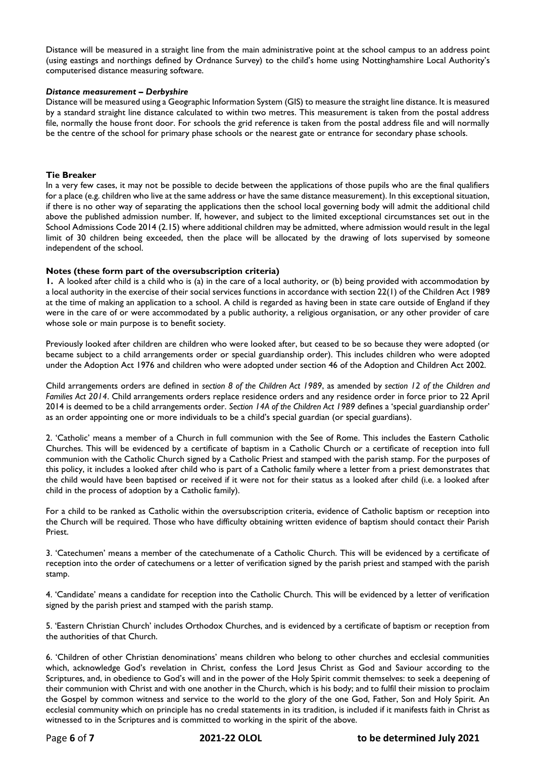Distance will be measured in a straight line from the main administrative point at the school campus to an address point (using eastings and northings defined by Ordnance Survey) to the child's home using Nottinghamshire Local Authority's computerised distance measuring software.

#### *Distance measurement – Derbyshire*

Distance will be measured using a Geographic Information System (GIS) to measure the straight line distance. It is measured by a standard straight line distance calculated to within two metres. This measurement is taken from the postal address file, normally the house front door. For schools the grid reference is taken from the postal address file and will normally be the centre of the school for primary phase schools or the nearest gate or entrance for secondary phase schools.

#### **Tie Breaker**

In a very few cases, it may not be possible to decide between the applications of those pupils who are the final qualifiers for a place (e.g. children who live at the same address or have the same distance measurement). In this exceptional situation, if there is no other way of separating the applications then the school local governing body will admit the additional child above the published admission number. If, however, and subject to the limited exceptional circumstances set out in the School Admissions Code 2014 (2.15) where additional children may be admitted, where admission would result in the legal limit of 30 children being exceeded, then the place will be allocated by the drawing of lots supervised by someone independent of the school.

### **Notes (these form part of the oversubscription criteria)**

**1.** A looked after child is a child who is (a) in the care of a local authority, or (b) being provided with accommodation by a local authority in the exercise of their social services functions in accordance with section 22(1) of the Children Act 1989 at the time of making an application to a school. A child is regarded as having been in state care outside of England if they were in the care of or were accommodated by a public authority, a religious organisation, or any other provider of care whose sole or main purpose is to benefit society.

Previously looked after children are children who were looked after, but ceased to be so because they were adopted (or became subject to a child arrangements order or special guardianship order). This includes children who were adopted under the Adoption Act 1976 and children who were adopted under section 46 of the Adoption and Children Act 2002.

Child arrangements orders are defined in *section 8 of the Children Act 1989*, as amended by *section 12 of the Children and Families Act 2014*. Child arrangements orders replace residence orders and any residence order in force prior to 22 April 2014 is deemed to be a child arrangements order. *Section 14A of the Children Act 1989* defines a 'special guardianship order' as an order appointing one or more individuals to be a child's special guardian (or special guardians).

2. 'Catholic' means a member of a Church in full communion with the See of Rome. This includes the Eastern Catholic Churches. This will be evidenced by a certificate of baptism in a Catholic Church or a certificate of reception into full communion with the Catholic Church signed by a Catholic Priest and stamped with the parish stamp. For the purposes of this policy, it includes a looked after child who is part of a Catholic family where a letter from a priest demonstrates that the child would have been baptised or received if it were not for their status as a looked after child (i.e. a looked after child in the process of adoption by a Catholic family).

For a child to be ranked as Catholic within the oversubscription criteria, evidence of Catholic baptism or reception into the Church will be required. Those who have difficulty obtaining written evidence of baptism should contact their Parish Priest.

3. 'Catechumen' means a member of the catechumenate of a Catholic Church. This will be evidenced by a certificate of reception into the order of catechumens or a letter of verification signed by the parish priest and stamped with the parish stamp.

4. 'Candidate' means a candidate for reception into the Catholic Church. This will be evidenced by a letter of verification signed by the parish priest and stamped with the parish stamp.

5. 'Eastern Christian Church' includes Orthodox Churches, and is evidenced by a certificate of baptism or reception from the authorities of that Church.

6. 'Children of other Christian denominations' means children who belong to other churches and ecclesial communities which, acknowledge God's revelation in Christ, confess the Lord Jesus Christ as God and Saviour according to the Scriptures, and, in obedience to God's will and in the power of the Holy Spirit commit themselves: to seek a deepening of their communion with Christ and with one another in the Church, which is his body; and to fulfil their mission to proclaim the Gospel by common witness and service to the world to the glory of the one God, Father, Son and Holy Spirit. An ecclesial community which on principle has no credal statements in its tradition, is included if it manifests faith in Christ as witnessed to in the Scriptures and is committed to working in the spirit of the above.